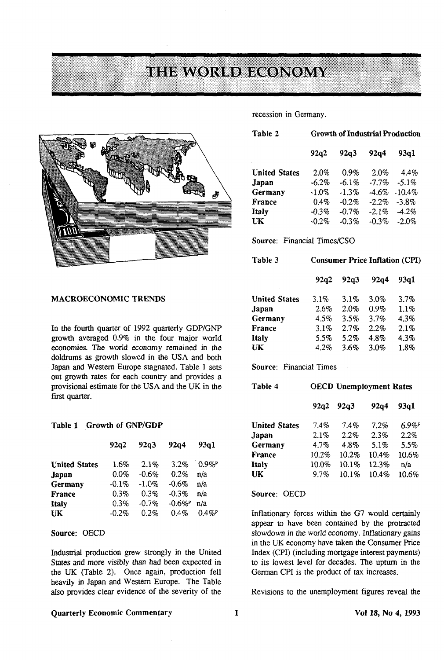# **THE WORLD ECONOMY**



#### **MACROECONOMIC TRENDS**

In the fourth quarter of 1992 quarterly GDP/GNP growth averaged 0.9% in the four major world economies. The world economy remained in the doldrums as growth slowed in the USA and both Japan and Western Europe stagnated. Table 1 sets out growth rates for each country and provides a provisional estimate for the USA and the UK in the first quarter.

#### **Table 1 Growth of GNP/GDP**

|                      | 92q2     | 92q3     | 92q4                  | 93a1                 |
|----------------------|----------|----------|-----------------------|----------------------|
| <b>United States</b> | 1.6%     | 2.1%     | 3.2%                  | 0.9%                 |
| Japan                | $0.0\%$  | $-0.6%$  | 0.2%                  | n/a                  |
| Germany              | $-0.1\%$ | $-1.0\%$ | $-0.6\%$              | n/a                  |
| <b>France</b>        | $0.3\%$  | 0.3%     | $-0.3\%$              | n/a                  |
| Italy                | $0.3\%$  | $-0.7%$  | $-0.6\%$ <sup>P</sup> | n/a                  |
| UK                   | $-0.2%$  | 0.2%     | $0.4\%$               | $0.4\%$ <sup>P</sup> |

## **Source:** OECD

Industrial production grew strongly in the United States and more visibly than had been expected in the UK (Table 2). Once again, production fell heavily in Japan and Western Europe. The Table also provides clear evidence of the severity of the

### **Quarterly Economic Commentary 1 Vol 18, No 4, 1993**

recession in Germany.

| Table 2              | <b>Growth of Industrial Production</b> |          |          |          |
|----------------------|----------------------------------------|----------|----------|----------|
|                      | 92a2                                   | 92q3     | 92a4     | 93a1     |
| <b>United States</b> | 2.0%                                   | 0.9%     | 2.0%     | $4.4\%$  |
| Japan                | $-6.2\%$                               | $-6.1\%$ | $-7.7\%$ | $-5.1\%$ |
| Germany              | $-1.0%$                                | $-1.3\%$ | $-4.6\%$ | $-10.4%$ |
| France               | 0.4%                                   | $-0.2%$  | $-2.2\%$ | $-3.8\%$ |
| Italy                | $-0.3%$                                | $-0.7%$  | $-2.1\%$ | $-4.2\%$ |
| UК                   | $-0.2%$                                | $-0.3%$  | $-0.3%$  | $-2.0%$  |

**Source:** Financial Times/CSO

| Table 3              | <b>Consumer Price Inflation (CPI)</b> |      |         |         |
|----------------------|---------------------------------------|------|---------|---------|
|                      | 92a2                                  | 92q3 | 92q4    | 93a1    |
| <b>United States</b> | $3.1\%$                               | 3.1% | 3.0%    | 3.7%    |
| Japan                | 2.6%                                  | 2.0% | $0.9\%$ | $1.1\%$ |
| Germany              | 4.5%                                  | 3.5% | 3.7%    | 4.3%    |
| France               | 3.1%                                  | 2.7% | 2.2%    | 2.1%    |
| <b>Italy</b>         | 5.5%                                  | 5.2% | 4.8%    | 4.3%    |
| UK                   | 4.2%                                  | 3.6% | 3.0%    | 1.8%    |

**Source:** Financial Times

| Table 4              | <b>OECD Unemployment Rates</b> |       |       |       |
|----------------------|--------------------------------|-------|-------|-------|
|                      | 92a2                           | 92q3  | 92a4  | 93a1  |
| <b>United States</b> | $7.4\%$                        | 7.4%  | 7.2%  | 6.9%" |
| Japan                | 2.1%                           | 2.2%  | 2.3%  | 2.2%  |
| Germany              | 4.7%                           | 4.8%  | 5.1%  | 5.5%  |
| France               | 10.2%                          | 10.2% | 10.4% | 10.6% |
| Italy                | 10.0%                          | 10.1% | 12.3% | n/a   |
| UK                   | 97%                            | 10.1% | 10.4% | 10.6% |

**Source:** OECD

Inflationary forces within the G7 would certainly appear to have been contained by the protracted slowdown in the world economy. Inflationary gains in the UK economy have taken the Consumer Price Index (CPI) (including mortgage interest payments) to its lowest level for decades. The upturn in the German CPI is the product of tax increases.

Revisions to the unemployment figures reveal the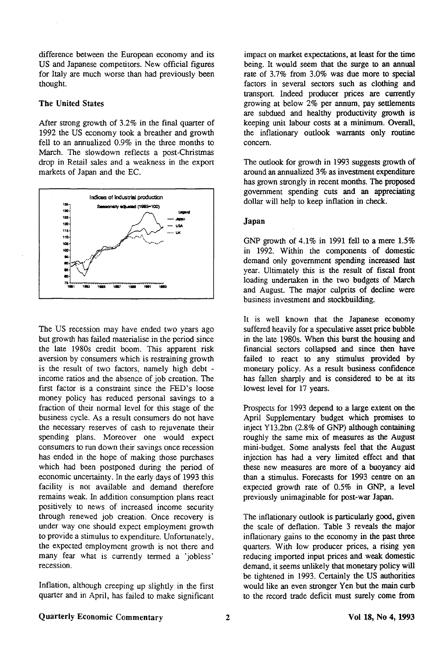difference between the European economy and its US and Japanese competitors. New official figures for Italy are much worse than had previously been thought.

## The United States

After strong growth of 3.2% in the final quarter of 1992 the US economy took a breather and growth fell to an annualized 0.9% in the three months to March. The slowdown reflects a post-Christmas drop in Retail sales and a weakness in the export markets of Japan and the EC.



The US recession may have ended two years ago but growth has failed materialise in the period since the late 1980s credit boom. This apparent risk aversion by consumers which is restraining growth is the result of two factors, namely high debt income ratios and the absence of job creation. The first factor is a constraint since the FED's loose money policy has reduced personal savings to a fraction of their normal level for this stage of the business cycle. As a result consumers do not have the necessary reserves of cash to rejuvenate their spending plans. Moreover one would expect consumers to run down their savings once recession has ended in the hope of making those purchases which had been postponed during the period of economic uncertainty. In the early days of 1993 this facility is not available and demand therefore remains weak. In addition consumption plans react positively to news of increased income security through renewed job creation. Once recovery is under way one should expect employment growth to provide a stimulus to expenditure. Unfortunately, the expected employment growth is not there and many fear what is currently termed a 'jobless' recession.

Inflation, although creeping up slightly in the first quarter and in April, has failed to make significant

impact on market expectations, at least for the time being. It would seem that the surge to an annual rate of 3.7% from 3.0% was due more to special factors in several sectors such as clothing and transport. Indeed producer prices are currently growing at below 2% per annum, pay settlements are subdued and healthy productivity growth is keeping unit labour costs at a minimum. Overall, the inflationary outlook warrants only routine concern.

The outlook for growth in 1993 suggests growth of around an annualized 3% as investment expenditure has grown strongly in recent months. The proposed government spending cuts and an appreciating dollar will help to keep inflation in check.

### Japan

GNP growth of 4.1% in 1991 fell to a mere 1.5% in 1992. Within the components of domestic demand only government spending increased last year. Ultimately this is the result of fiscal front loading undertaken in the two budgets of March and August. The major culprits of decline were business investment and stockbuilding.

It is well known that the Japanese economy suffered heavily for a speculative asset price bubble in the late 1980s. When this burst the housing and financial sectors collapsed and since then have failed to react to any stimulus provided by monetary policy. As a result business confidence has fallen sharply and is considered to be at its lowest level for 17 years.

Prospects for 1993 depend to a large extent on the April Supplementary budget which promises to inject Y13.2bn (2.8% of GNP) although containing roughly the same mix of measures as the August mini-budget. Some analysts feel that the August injection has had a very limited effect and that these new measures are more of a buoyancy aid than a stimulus. Forecasts for 1993 centre on an expected growth rate of 0.5% in GNP, a level previously unimaginable for post-war Japan.

The inflationary outlook is particularly good, given the scale of deflation. Table 3 reveals the major inflationary gains to the economy in the past three quarters. With low producer prices, a rising yen reducing imported input prices and weak domestic demand, it seems unlikely that monetary policy will be tightened in 1993. Certainly the US authorities would like an even stronger Yen but the main curb to the record trade deficit must surely come from

## Quarterly Economic Commentary 2 2 Vol 18, No 4, 1993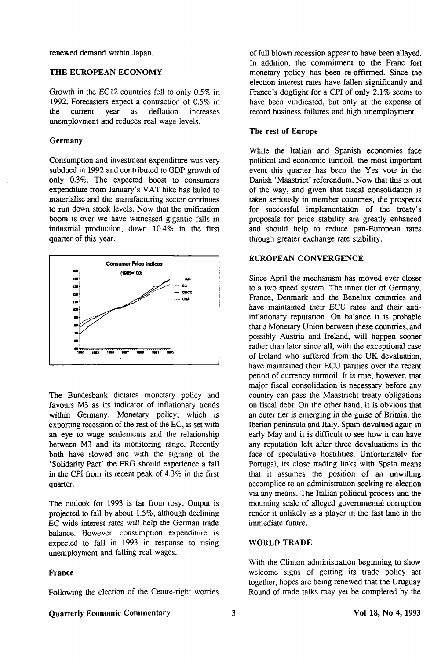renewed demand within Japan.

## **THE EUROPEAN ECONOMY**

Growth in the EC12 countries fell to only 0.5% in 1992. Forecasters expect a contraction of  $0.5\%$  in the current year as deflation increases increases unemployment and reduces real wage levels.

## **Germany**

Consumption and investment expenditure was very subdued in 1992 and contributed to GDP growth of only 0.3%. The expected boost to consumers expenditure from January's VAT hike has failed to materialise and the manufacturing sector continues to run down stock levels. Now that the unification boom is over we have witnessed gigantic falls in industrial production, down  $10.4\%$  in the first quarter of this year.



The Bundesbank dictates monetary policy and favours M3 as its indicator of inflationary trends within Germany. Monetary policy, which is exporting recession of the rest of the EC, is set with an eye to wage settlements and the relationship between M3 and its monitoring range. Recently both have slowed and with the signing of the 'Solidarity Pact' the FRG should experience a fall in the CPI from its recent peak of 4.3% in the first quarter.

The outlook for 1993 is far from rosy. Output is projected to fall by about 1.5%, although declining EC wide interest rates will help the German trade balance. However, consumption expenditure is expected to fall in 1993 in response to rising unemployment and falling real wages.

## **France**

Following the election of the Centre-right worries

of full blown recession appear to have been allayed. In addition, the commitment to **the** Franc fort monetary policy has been re-affirmed. Since the election interest rates have fallen significantly and France's dogfight for a CPI of only 2.1% seems to have been vindicated, but only at the expense of record business failures and high unemployment.

### **The rest of Europe**

While the Italian and Spanish economies face political and economic turmoil, the most important event this quarter has been the Yes vote in the Danish 'Maastrict' referendum. Now that this is out of the way, and given that fiscal consolidation is taken seriously in member countries, the prospects for successful implementation of the treaty's proposals for price stability are gready enhanced and should help to reduce pan-European rates through greater exchange rate stability.

## **EUROPEAN** CONVERGENCE

Since April the mechanism has moved ever closer to a two speed system. The inner tier of Germany, France, Denmark and the Benelux countries and have maintained their ECU rates and their antiinflationary reputation. On balance it is probable that a Monetary Union between these countries, and possibly Austria and Ireland, will happen sooner rather than later since all, with the exceptional case of Ireland who suffered from the UK devaluation, have maintained their ECU parities over the recent period of currency turmoil. It is true, however, that major fiscal consolidation is necessary before any country can pass the Maastricht treaty obligations on fiscal debt. On the other hand, it is obvious that an outer tier is emerging in the guise of Britain, the Iberian peninsula and Italy. Spain devalued again in early May and it is difficult to see how it can have any reputation left after three devaluations in the face of speculative hostilities. Unfortunately for Portugal, its close trading links with Spain means that it assumes the position of an unwilling accomplice to an administration seeking re-election via any means. The Italian political process and the mounting scale of alleged governmental corruption render it unlikely as a player in the fast lane in the immediate future.

#### **WORLD TRADE**

With the Clinton administration beginning to show welcome signs of getting its trade policy act together, hopes are being renewed that the Uruguay Round of trade talks may yet be completed by the

## **Quarterly Economic Commentary 3 Vol 18, No 4, 1993**